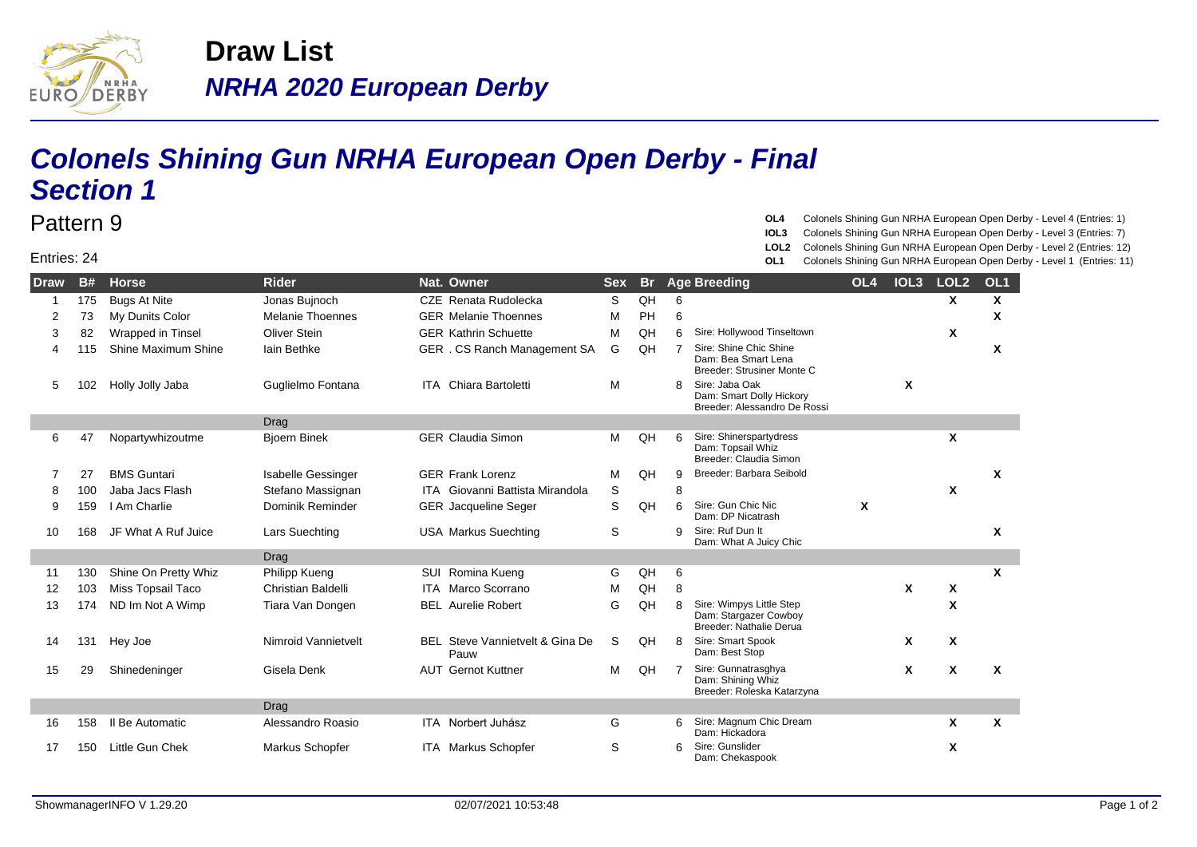

## **NRHA 2020 European Derby Draw List**

## **Colonels Shining Gun NRHA European Open Derby - Final Section 1**

## Entries: 24

Pattern 9

**OL4** Colonels Shining Gun NRHA European Open Derby - Level 4 (Entries: 1)

- **IOL3** Colonels Shining Gun NRHA European Open Derby Level 3 (Entries: 7)
- **LOL2** Colonels Shining Gun NRHA European Open Derby Level 2 (Entries: 12)
- **OL1** Colonels Shining Gun NRHA European Open Derby Level 1 (Entries: 11)

| <b>Draw</b> | <b>B#</b> | <b>Horse</b>             | <b>Rider</b>              | Nat. Owner                              | <b>Sex</b> | <b>Br</b> |    | <b>Age Breeding</b>                                                          | OL <sub>4</sub> | IOL <sub>3</sub> | LOL <sub>2</sub> | OL <sub>1</sub> |
|-------------|-----------|--------------------------|---------------------------|-----------------------------------------|------------|-----------|----|------------------------------------------------------------------------------|-----------------|------------------|------------------|-----------------|
|             | 175       | <b>Bugs At Nite</b>      | Jonas Bujnoch             | CZE Renata Rudolecka                    | S          | QH        | 6  |                                                                              |                 |                  | X                | Χ               |
| 2           | 73        | My Dunits Color          | <b>Melanie Thoennes</b>   | <b>GER Melanie Thoennes</b>             | M          | PH        | 6  |                                                                              |                 |                  |                  | X               |
| 3           | 82        | Wrapped in Tinsel        | Oliver Stein              | <b>GER Kathrin Schuette</b>             | М          | QH        | 6  | Sire: Hollywood Tinseltown                                                   |                 |                  | X                |                 |
| 4           | 115       | Shine Maximum Shine      | lain Bethke               | GER . CS Ranch Management SA            | G          | QH        | -7 | Sire: Shine Chic Shine<br>Dam: Bea Smart Lena<br>Breeder: Strusiner Monte C  |                 |                  |                  | X               |
| 5           | 102       | Holly Jolly Jaba         | Guglielmo Fontana         | <b>ITA</b> Chiara Bartoletti            | M          |           | 8  | Sire: Jaba Oak<br>Dam: Smart Dolly Hickory<br>Breeder: Alessandro De Rossi   |                 | X                |                  |                 |
|             |           |                          | <b>Drag</b>               |                                         |            |           |    |                                                                              |                 |                  |                  |                 |
| 6           | 47        | Nopartywhizoutme         | <b>Bioern Binek</b>       | <b>GER Claudia Simon</b>                | м          | QH        | 6  | Sire: Shinerspartydress<br>Dam: Topsail Whiz<br>Breeder: Claudia Simon       |                 |                  | X                |                 |
|             | 27        | <b>BMS Guntari</b>       | <b>Isabelle Gessinger</b> | <b>GER Frank Lorenz</b>                 | M          | QH        | 9  | Breeder: Barbara Seibold                                                     |                 |                  |                  | X               |
| 8           | 100       | Jaba Jacs Flash          | Stefano Massignan         | <b>ITA</b> Giovanni Battista Mirandola  | S          |           | 8  |                                                                              |                 |                  | X                |                 |
| 9           | 159       | I Am Charlie             | Dominik Reminder          | <b>GER</b> Jacqueline Seger             | S          | QH        | 6  | Sire: Gun Chic Nic<br>Dam: DP Nicatrash                                      | X               |                  |                  |                 |
| 10          | 168       | JF What A Ruf Juice      | Lars Suechting            | <b>USA Markus Suechting</b>             | S          |           | 9  | Sire: Ruf Dun It<br>Dam: What A Juicy Chic                                   |                 |                  |                  | X               |
|             |           |                          | Drag                      |                                         |            |           |    |                                                                              |                 |                  |                  |                 |
| 11          | 130       | Shine On Pretty Whiz     | Philipp Kueng             | SUI Romina Kueng                        | G          | QH        | 6  |                                                                              |                 |                  |                  | X               |
| 12          | 103       | <b>Miss Topsail Taco</b> | Christian Baldelli        | <b>ITA</b> Marco Scorrano               | M          | QH        | 8  |                                                                              |                 | X                | $\boldsymbol{x}$ |                 |
| 13          | 174       | ND Im Not A Wimp         | Tiara Van Dongen          | <b>BEL</b> Aurelie Robert               | G          | QH        | 8  | Sire: Wimpys Little Step<br>Dam: Stargazer Cowboy<br>Breeder: Nathalie Derua |                 |                  | X                |                 |
| 14          | 131       | Hey Joe                  | Nimroid Vannietvelt       | BEL Steve Vannietvelt & Gina De<br>Pauw | S          | QH        | 8  | Sire: Smart Spook<br>Dam: Best Stop                                          |                 | X                | X                |                 |
| 15          | 29        | Shinedeninger            | Gisela Denk               | <b>AUT</b> Gernot Kuttner               | м          | QH        |    | Sire: Gunnatrasghya<br>Dam: Shining Whiz<br>Breeder: Roleska Katarzyna       |                 | X                | X                | X               |
|             |           |                          | Drag                      |                                         |            |           |    |                                                                              |                 |                  |                  |                 |
| 16          | 158       | Il Be Automatic          | Alessandro Roasio         | ITA Norbert Juhász                      | G          |           | 6  | Sire: Magnum Chic Dream<br>Dam: Hickadora                                    |                 |                  | X                | X               |
| 17          | 150       | Little Gun Chek          | Markus Schopfer           | ITA Markus Schopfer                     | S          |           |    | Sire: Gunslider<br>Dam: Chekaspook                                           |                 |                  | X                |                 |